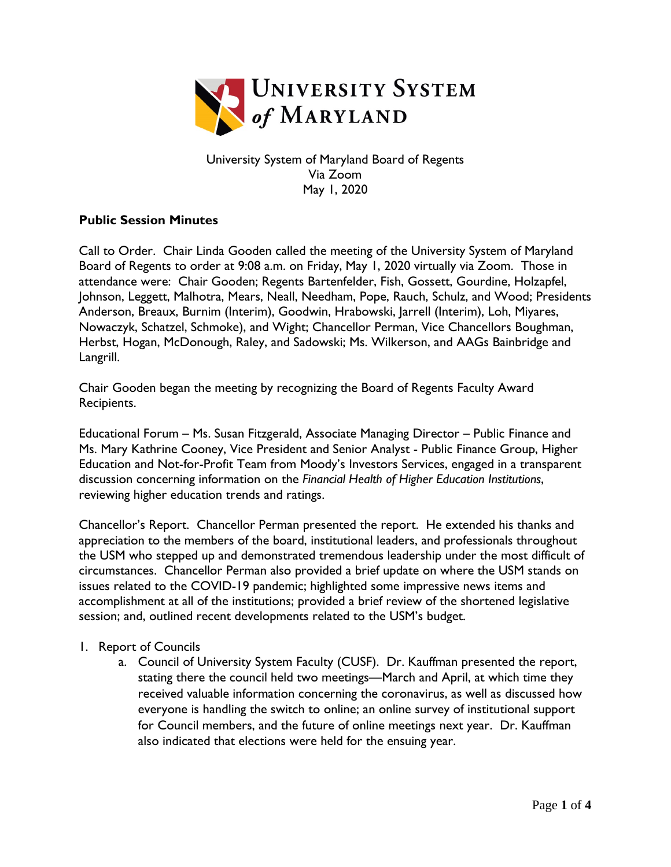

University System of Maryland Board of Regents Via Zoom May 1, 2020

## **Public Session Minutes**

Call to Order. Chair Linda Gooden called the meeting of the University System of Maryland Board of Regents to order at 9:08 a.m. on Friday, May 1, 2020 virtually via Zoom. Those in attendance were: Chair Gooden; Regents Bartenfelder, Fish, Gossett, Gourdine, Holzapfel, Johnson, Leggett, Malhotra, Mears, Neall, Needham, Pope, Rauch, Schulz, and Wood; Presidents Anderson, Breaux, Burnim (Interim), Goodwin, Hrabowski, Jarrell (Interim), Loh, Miyares, Nowaczyk, Schatzel, Schmoke), and Wight; Chancellor Perman, Vice Chancellors Boughman, Herbst, Hogan, McDonough, Raley, and Sadowski; Ms. Wilkerson, and AAGs Bainbridge and Langrill.

Chair Gooden began the meeting by recognizing the Board of Regents Faculty Award Recipients.

Educational Forum – Ms. Susan Fitzgerald, Associate Managing Director – Public Finance and Ms. Mary Kathrine Cooney, Vice President and Senior Analyst - Public Finance Group, Higher Education and Not-for-Profit Team from Moody's Investors Services, engaged in a transparent discussion concerning information on the *Financial Health of Higher Education Institutions*, reviewing higher education trends and ratings.

Chancellor's Report. Chancellor Perman presented the report. He extended his thanks and appreciation to the members of the board, institutional leaders, and professionals throughout the USM who stepped up and demonstrated tremendous leadership under the most difficult of circumstances. Chancellor Perman also provided a brief update on where the USM stands on issues related to the COVID-19 pandemic; highlighted some impressive news items and accomplishment at all of the institutions; provided a brief review of the shortened legislative session; and, outlined recent developments related to the USM's budget.

## 1. Report of Councils

a. Council of University System Faculty (CUSF). Dr. Kauffman presented the report, stating there the council held two meetings—March and April, at which time they received valuable information concerning the coronavirus, as well as discussed how everyone is handling the switch to online; an online survey of institutional support for Council members, and the future of online meetings next year. Dr. Kauffman also indicated that elections were held for the ensuing year.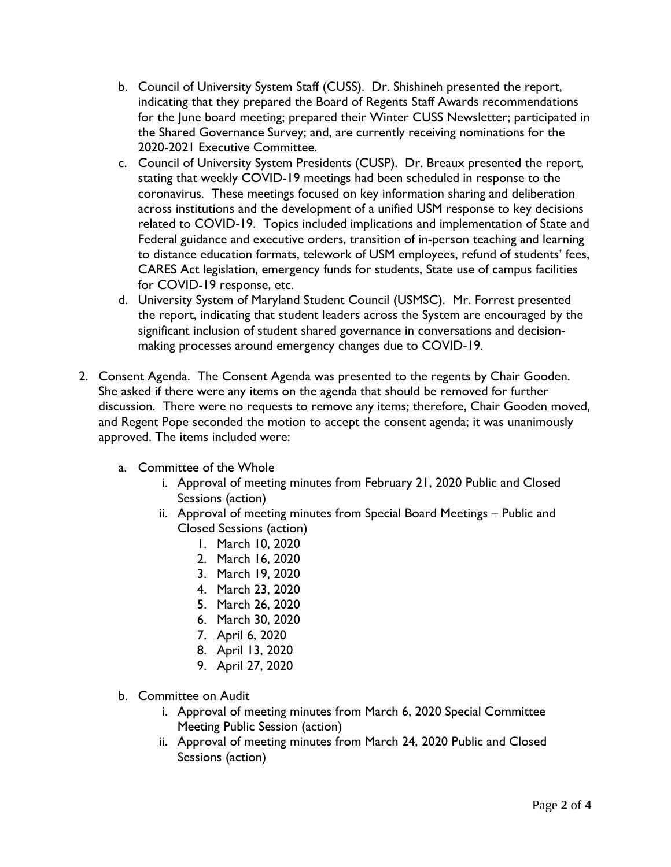- b. Council of University System Staff (CUSS). Dr. Shishineh presented the report, indicating that they prepared the Board of Regents Staff Awards recommendations for the June board meeting; prepared their Winter CUSS Newsletter; participated in the Shared Governance Survey; and, are currently receiving nominations for the 2020-2021 Executive Committee.
- c. Council of University System Presidents (CUSP). Dr. Breaux presented the report, stating that weekly COVID-19 meetings had been scheduled in response to the coronavirus. These meetings focused on key information sharing and deliberation across institutions and the development of a unified USM response to key decisions related to COVID-19. Topics included implications and implementation of State and Federal guidance and executive orders, transition of in-person teaching and learning to distance education formats, telework of USM employees, refund of students' fees, CARES Act legislation, emergency funds for students, State use of campus facilities for COVID-19 response, etc.
- d. University System of Maryland Student Council (USMSC). Mr. Forrest presented the report, indicating that student leaders across the System are encouraged by the significant inclusion of student shared governance in conversations and decisionmaking processes around emergency changes due to COVID-19.
- 2. Consent Agenda. The Consent Agenda was presented to the regents by Chair Gooden. She asked if there were any items on the agenda that should be removed for further discussion. There were no requests to remove any items; therefore, Chair Gooden moved, and Regent Pope seconded the motion to accept the consent agenda; it was unanimously approved. The items included were:
	- a. Committee of the Whole
		- i. Approval of meeting minutes from February 21, 2020 Public and Closed Sessions (action)
		- ii. Approval of meeting minutes from Special Board Meetings Public and Closed Sessions (action)
			- 1. March 10, 2020
			- 2. March 16, 2020
			- 3. March 19, 2020
			- 4. March 23, 2020
			- 5. March 26, 2020
			- 6. March 30, 2020
			- 7. April 6, 2020
			- 8. April 13, 2020
			- 9. April 27, 2020
	- b. Committee on Audit
		- i. Approval of meeting minutes from March 6, 2020 Special Committee Meeting Public Session (action)
		- ii. Approval of meeting minutes from March 24, 2020 Public and Closed Sessions (action)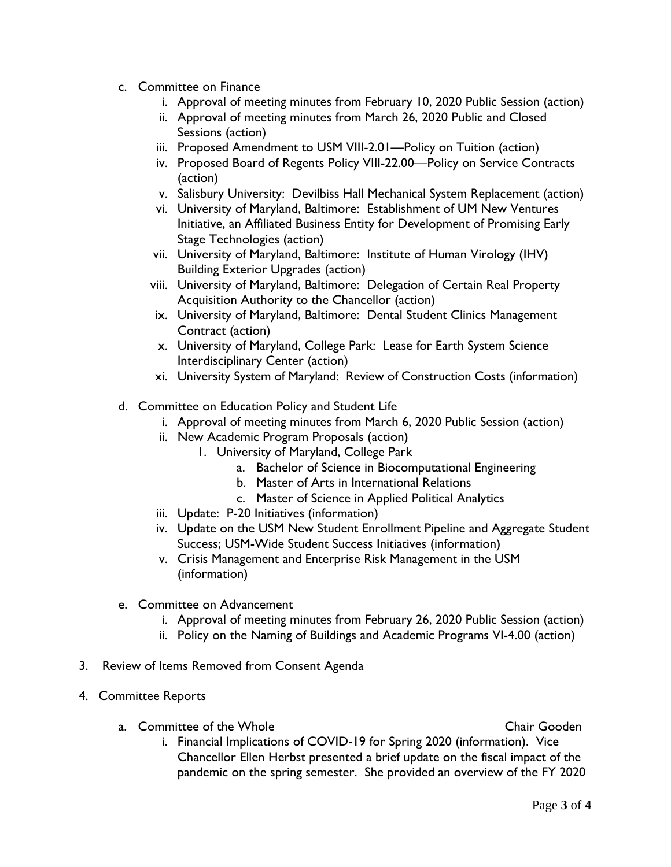- c. Committee on Finance
	- i. Approval of meeting minutes from February 10, 2020 Public Session (action)
	- ii. Approval of meeting minutes from March 26, 2020 Public and Closed Sessions (action)
	- iii. Proposed Amendment to USM VIII-2.01—Policy on Tuition (action)
	- iv. Proposed Board of Regents Policy VIII-22.00—Policy on Service Contracts (action)
	- v. Salisbury University: Devilbiss Hall Mechanical System Replacement (action)
	- vi. University of Maryland, Baltimore: Establishment of UM New Ventures Initiative, an Affiliated Business Entity for Development of Promising Early Stage Technologies (action)
	- vii. University of Maryland, Baltimore: Institute of Human Virology (IHV) Building Exterior Upgrades (action)
	- viii. University of Maryland, Baltimore: Delegation of Certain Real Property Acquisition Authority to the Chancellor (action)
	- ix. University of Maryland, Baltimore: Dental Student Clinics Management Contract (action)
	- x. University of Maryland, College Park: Lease for Earth System Science Interdisciplinary Center (action)
	- xi. University System of Maryland: Review of Construction Costs (information)
- d. Committee on Education Policy and Student Life
	- i. Approval of meeting minutes from March 6, 2020 Public Session (action)
	- ii. New Academic Program Proposals (action)
		- 1. University of Maryland, College Park
			- a. Bachelor of Science in Biocomputational Engineering
			- b. Master of Arts in International Relations
			- c. Master of Science in Applied Political Analytics
	- iii. Update: P-20 Initiatives (information)
	- iv. Update on the USM New Student Enrollment Pipeline and Aggregate Student Success; USM-Wide Student Success Initiatives (information)
	- v. Crisis Management and Enterprise Risk Management in the USM (information)
- e. Committee on Advancement
	- i. Approval of meeting minutes from February 26, 2020 Public Session (action)
	- ii. [Policy on the Naming of Buildings and Academic Programs VI-4.00 \(action\)](http://www.usmd.edu/BORPortal/Materials/2014/FB/20141212/PS-ADV-PolicyNamingBldAcademicPrograms.pdf)
- 3. Review of Items Removed from Consent Agenda
- 4. Committee Reports
	- a. Committee of the Whole Chair Gooden Chair Gooden

i. Financial Implications of COVID-19 for Spring 2020 (information). Vice Chancellor Ellen Herbst presented a brief update on the fiscal impact of the pandemic on the spring semester. She provided an overview of the FY 2020